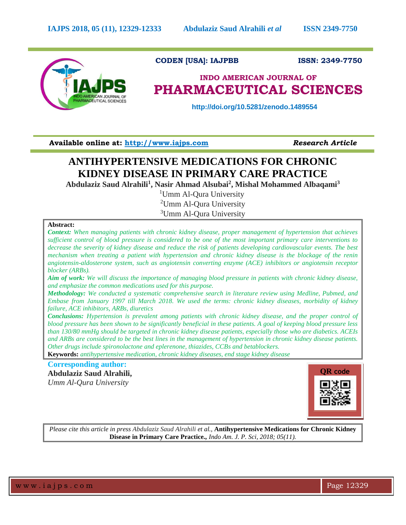

## **CODEN [USA]: IAJPBB ISSN: 2349-7750**

# **INDO AMERICAN JOURNAL OF PHARMACEUTICAL SCIENCES**

 **http://doi.org/10.5281/zenodo.1489554**

**Available online at: [http://www.iajps.com](http://www.iajps.com/)** *Research Article*

## **ANTIHYPERTENSIVE MEDICATIONS FOR CHRONIC KIDNEY DISEASE IN PRIMARY CARE PRACTICE**

**Abdulaziz Saud Alrahili<sup>1</sup> , Nasir Ahmad Alsubai<sup>2</sup> , Mishal Mohammed Albaqami<sup>3</sup>**

<sup>1</sup>Umm Al-Qura University

<sup>2</sup>Umm Al-Qura University <sup>3</sup>Umm Al-Qura University

## **Abstract:**

*Context: When managing patients with chronic kidney disease, proper management of hypertension that achieves sufficient control of blood pressure is considered to be one of the most important primary care interventions to decrease the severity of kidney disease and reduce the risk of patients developing cardiovascular events. The best mechanism when treating a patient with hypertension and chronic kidney disease is the blockage of the renin angiotensin-aldosterone system, such as angiotensin converting enzyme (ACE) inhibitors or angiotensin receptor blocker (ARBs).*

*Aim of work: We will discuss the importance of managing blood pressure in patients with chronic kidney disease, and emphasize the common medications used for this purpose.* 

*Methodology: We conducted a systematic comprehensive search in literature review using Medline, Pubmed, and Embase from January 1997 till March 2018. We used the terms: chronic kidney diseases, morbidity of kidney failure, ACE inhibitors, ARBs, diuretics*

*Conclusions: Hypertension is prevalent among patients with chronic kidney disease, and the proper control of blood pressure has been shown to be significantly beneficial in these patients. A goal of keeping blood pressure less than 130/80 mmHg should be targeted in chronic kidney disease patients, especially those who are diabetics. ACEIs and ARBs are considered to be the best lines in the management of hypertension in chronic kidney disease patients. Other drugs include spironolactone and eplerenone, thiazides, CCBs and betablockers.*

**Keywords:** *antihypertensive medication, chronic kidney diseases, end stage kidney disease*

## **Corresponding author: Abdulaziz Saud Alrahili,**  *Umm Al-Qura University*



*Please cite this article in press Abdulaziz Saud Alrahili et al.,* **Antihypertensive Medications for Chronic Kidney Disease in Primary Care Practice***., Indo Am. J. P. Sci, 2018; 05(11).*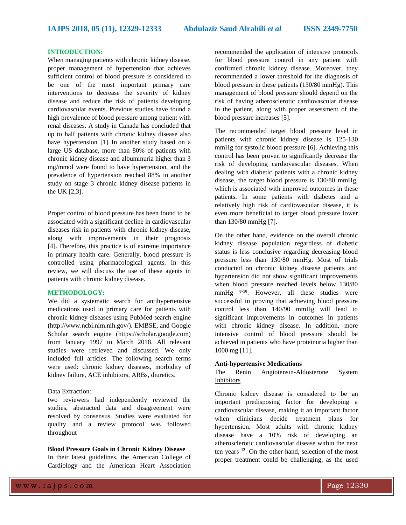## **INTRODUCTION:**

When managing patients with chronic kidney disease, proper management of hypertension that achieves sufficient control of blood pressure is considered to be one of the most important primary care interventions to decrease the severity of kidney disease and reduce the risk of patients developing cardiovascular events. Previous studies have found a high prevalence of blood pressure among patient with renal diseases. A study in Canada has concluded that up to half patients with chronic kidney disease also have hypertension [1]. In another study based on a large US database, more than 80% of patients with chronic kidney disease and albuminuria higher than 3 mg/mmol were found to have hypertension, and the prevalence of hypertension reached 88% in another study on stage 3 chronic kidney disease patients in the UK [2,3].

Proper control of blood pressure has been found to be associated with a significant decline in cardiovascular diseases risk in patients with chronic kidney disease, along with improvements in their prognosis [4]. Therefore, this practice is of extreme importance in primary health care. Generally, blood pressure is controlled using pharmacological agents. In this review, we will discuss the use of these agents in patients with chronic kidney disease.

## **METHODOLOGY:**

We did a systematic search for antihypertensive medications used in primary care for patients with chronic kidney diseases using PubMed search engine (http://www.ncbi.nlm.nih.gov/). EMBSE, and Google Scholar search engine (https://scholar.google.com) from January 1997 to March 2018. All relevant studies were retrieved and discussed. We only included full articles. The following search terms were used: chronic kidney diseases, morbidity of kidney failure, ACE inhibitors, ARBs, diuretics.

### Data Extraction:

two reviewers had independently reviewed the studies, abstracted data and disagreement were resolved by consensus. Studies were evaluated for quality and a review protocol was followed throughout

## **Blood Pressure Goals in Chronic Kidney Disease**

In their latest guidelines, the American College of Cardiology and the American Heart Association recommended the application of intensive protocols for blood pressure control in any patient with confirmed chronic kidney disease. Moreover, they recommended a lower threshold for the diagnosis of blood pressure in these patients (130/80 mmHg). This management of blood pressure should depend on the risk of having atherosclerotic cardiovascular disease in the patient, along with proper assessment of the blood pressure increases [5].

The recommended target blood pressure level in patients with chronic kidney disease is 125-130 mmHg for systolic blood pressure [6]. Achieving this control has been proven to significantly decrease the risk of developing cardiovascular diseases. When dealing with diabetic patients with a chronic kidney disease, the target blood pressure is 130/80 mmHg, which is associated with improved outcomes in these patients. In some patients with diabetes and a relatively high risk of cardiovascular disease, it is even more beneficial to target blood pressure lower than 130/80 mmHg [7].

On the other hand, evidence on the overall chronic kidney disease population regardless of diabetic status is less conclusive regarding decreasing blood pressure less than 130/80 mmHg. Most of trials conducted on chronic kidney disease patients and hypertension did not show significant improvements when blood pressure reached levels below 130/80 mmHg  $8-10$ . However, all these studies were successful in proving that achieving blood pressure control less than 140/90 mmHg will lead to significant improvements in outcomes in patients with chronic kidney disease. In addition, more intensive control of blood pressure should be achieved in patients who have proteinuria higher than 1000 mg [11].

## **Anti-hypertensive Medications**

## The Renin Angiotensin-Aldosterone System Inhibitors

Chronic kidney disease is considered to be an important predisposing factor for developing a cardiovascular disease, making it an important factor when clinicians decide treatment plans for hypertension. Most adults with chronic kidney disease have a 10% risk of developing an atherosclerotic cardiovascular disease within the next ten years **<sup>12</sup>**. On the other hand, selection of the most proper treatment could be challenging, as the used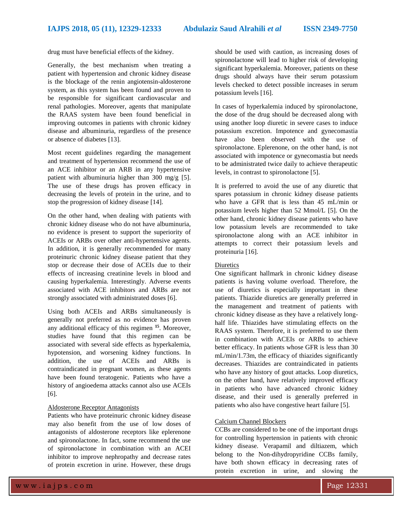drug must have beneficial effects of the kidney.

Generally, the best mechanism when treating a patient with hypertension and chronic kidney disease is the blockage of the renin angiotensin-aldosterone system, as this system has been found and proven to be responsible for significant cardiovascular and renal pathologies. Moreover, agents that manipulate the RAAS system have been found beneficial in improving outcomes in patients with chronic kidney disease and albuminuria, regardless of the presence or absence of diabetes [13].

Most recent guidelines regarding the management and treatment of hypertension recommend the use of an ACE inhibitor or an ARB in any hypertensive patient with albuminuria higher than 300 mg/g [5]. The use of these drugs has proven efficacy in decreasing the levels of protein in the urine, and to stop the progression of kidney disease [14].

On the other hand, when dealing with patients with chronic kidney disease who do not have albuminuria, no evidence is present to support the superiority of ACEIs or ARBs over other anti-hypertensive agents. In addition, it is generally recommended for many proteinuric chronic kidney disease patient that they stop or decrease their dose of ACEIs due to their effects of increasing creatinine levels in blood and causing hyperkalemia. Interestingly. Adverse events associated with ACE inhibitors and ARBs are not strongly associated with administrated doses [6].

Using both ACEIs and ARBs simultaneously is generally not preferred as no evidence has proven any additional efficacy of this regimen **<sup>15</sup>**. Moreover, studies have found that this regimen can be associated with several side effects as hyperkalemia, hypotension, and worsening kidney functions. In addition, the use of ACEIs and ARBs is contraindicated in pregnant women, as these agents have been found teratogenic. Patients who have a history of angioedema attacks cannot also use ACEIs [6].

### Aldosterone Receptor Antagonists

Patients who have proteinuric chronic kidney disease may also benefit from the use of low doses of antagonists of aldosterone receptors like eplerenone and spironolactone. In fact, some recommend the use of spironolactone in combination with an ACEI inhibitor to improve nephropathy and decrease rates of protein excretion in urine. However, these drugs should be used with caution, as increasing doses of spironolactone will lead to higher risk of developing significant hyperkalemia. Moreover, patients on these drugs should always have their serum potassium levels checked to detect possible increases in serum potassium levels [16].

In cases of hyperkalemia induced by spironolactone, the dose of the drug should be decreased along with using another loop diuretic in severe cases to induce potassium excretion. Impotence and gynecomastia have also been observed with the use of spironolactone. Eplerenone, on the other hand, is not associated with impotence or gynecomastia but needs to be administrated twice daily to achieve therapeutic levels, in contrast to spironolactone [5].

It is preferred to avoid the use of any diuretic that spares potassium in chronic kidney disease patients who have a GFR that is less than 45 mL/min or potassium levels higher than 52 Mmol/L [5]. On the other hand, chronic kidney disease patients who have low potassium levels are recommended to take spironolactone along with an ACE inhibitor in attempts to correct their potassium levels and proteinuria [16].

### Diuretics

One significant hallmark in chronic kidney disease patients is having volume overload. Therefore, the use of diuretics is especially important in these patients. Thiazide diuretics are generally preferred in the management and treatment of patients with chronic kidney disease as they have a relatively longhalf life. Thiazides have stimulating effects on the RAAS system. Therefore, it is preferred to use them in combination with ACEIs or ARBs to achieve better efficacy. In patients whose GFR is less than 30 mL/min/1.73m, the efficacy of thiazides significantly decreases. Thiazides are contraindicated in patients who have any history of gout attacks. Loop diuretics, on the other hand, have relatively improved efficacy in patients who have advanced chronic kidney disease, and their used is generally preferred in patients who also have congestive heart failure [5].

## Calcium Channel Blockers

CCBs are considered to be one of the important drugs for controlling hypertension in patients with chronic kidney disease. Verapamil and diltiazem, which belong to the Non-dihydropyridine CCBs family, have both shown efficacy in decreasing rates of protein excretion in urine, and slowing the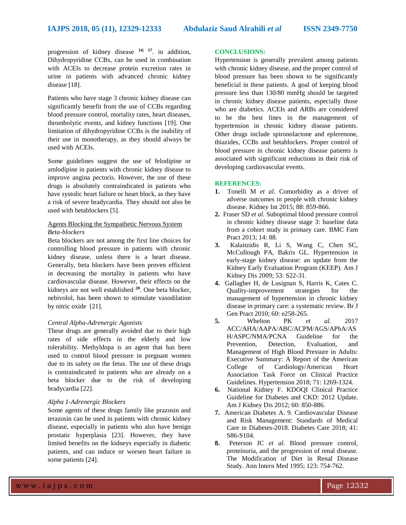progression of kidney disease **14; 17** . in addition, Dihydropyridine CCBs, can be used in combination with ACEIs to decrease protein excretion rates in urine in patients with advanced chronic kidney disease [18].

Patients who have stage 3 chronic kidney disease can significantly benefit from the use of CCBs regarding blood pressure control, mortality rates, heart diseases, thrombolytic events, and kidney functions [19]. One limitation of dihydropyridine CCBs is the inability of their use in monotherapy, as they should always be used with ACEIs.

Some guidelines suggest the use of felodipine or amlodipine in patients with chronic kidney disease to improve angina pectoris. However, the use of these drugs is absolutely contraindicated in patients who have systolic heart failure or heart block, as they have a risk of severe bradycardia. They should not also be used with betablockers [5].

## Agents Blocking the Sympathetic Nervous System *Beta-blockers*

Beta blockers are not among the first line choices for controlling blood pressure in patients with chronic kidney disease, unless there is a heart disease. Generally, beta blockers have been proven efficient in decreasing the mortality in patients who have cardiovascular disease. However, their effects on the kidneys are not well established **<sup>20</sup>** . One beta blocker, nebivolol, has been shown to stimulate vasodilation by nitric oxide [21].

## *Central Alpha-Adrenergic Agonists*

These drugs are generally avoided due to their high rates of side effects in the elderly and low tolerability. Methyldopa is an agent that has been used to control blood pressure in pregnant women due to its safety on the fetus. The use of these drugs is contraindicated in patients who are already on a beta blocker due to the risk of developing bradycardia [22].

## *Alpha 1-Adrenergic Blockers*

Some agents of these drugs family like prazosin and terazosin can be used in patients with chronic kidney disease, especially in patients who also have benign prostatic hyperplasia [23]. However, they have limited benefits on the kidneys especially in diabetic patients, and can induce or worsen heart failure in some patients [24].

### **CONCLUSIONS:**

Hypertension is generally prevalent among patients with chronic kidney disease, and the proper control of blood pressure has been shown to be significantly beneficial in these patients. A goal of keeping blood pressure less than 130/80 mmHg should be targeted in chronic kidney disease patients, especially those who are diabetics. ACEIs and ARBs are considered to be the best lines in the management of hypertension in chronic kidney disease patients. Other drugs include spironolactone and eplerenone, thiazides, CCBs and betablockers. Proper control of blood pressure in chronic kidney disease patients is associated with significant reductions in their risk of developing cardiovascular events.

#### **REFERENCES:**

- **1.** Tonelli M *et al.* Comorbidity as a driver of adverse outcomes in people with chronic kidney disease. Kidney Int 2015; 88: 859-866.
- **2.** Fraser SD *et al.* Suboptimal blood pressure control in chronic kidney disease stage 3: baseline data from a cohort study in primary care. BMC Fam Pract 2013; 14: 88.
- **3.** Kalaitzidis R, Li S, Wang C, Chen SC, McCullough PA, Bakris GL. Hypertension in early-stage kidney disease: an update from the Kidney Early Evaluation Program (KEEP). Am J Kidney Dis 2009; 53: S22-31.
- **4.** Gallagher H, de Lusignan S, Harris K, Cates C. Quality-improvement strategies for the management of hypertension in chronic kidney disease in primary care: a systematic review. Br J Gen Pract 2010; 60: e258-265.
- **5.** Whelton PK *et al.* 2017 ACC/AHA/AAPA/ABC/ACPM/AGS/APhA/AS H/ASPC/NMA/PCNA Guideline for the Prevention, Detection, Evaluation, and Management of High Blood Pressure in Adults: Executive Summary: A Report of the American College of Cardiology/American Heart Association Task Force on Clinical Practice Guidelines. Hypertension 2018; 71: 1269-1324.
- **6.** National Kidney F. KDOQI Clinical Practice Guideline for Diabetes and CKD: 2012 Update. Am J Kidney Dis 2012; 60: 850-886.
- **7.** American Diabetes A. 9. Cardiovascular Disease and Risk Management: Standards of Medical Care in Diabetes-2018. Diabetes Care 2018; 41: S86-S104.
- **8.** Peterson JC *et al.* Blood pressure control, proteinuria, and the progression of renal disease. The Modification of Diet in Renal Disease Study. Ann Intern Med 1995; 123: 754-762.